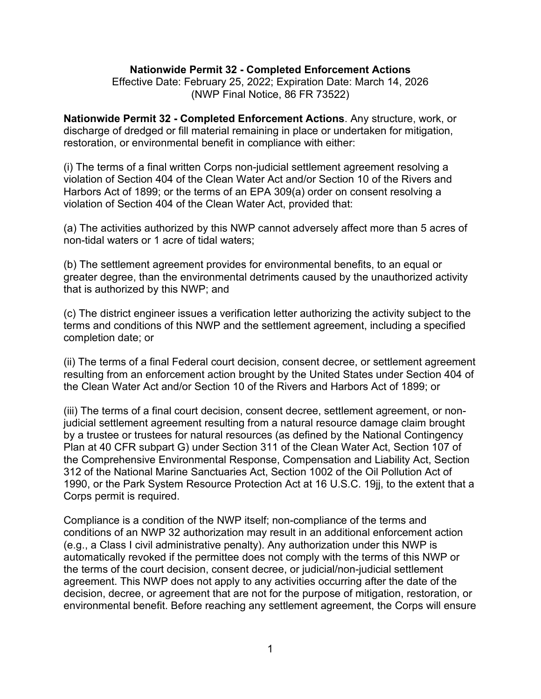#### **Nationwide Permit 32 - Completed Enforcement Actions**

Effective Date: February 25, 2022; Expiration Date: March 14, 2026 (NWP Final Notice, 86 FR 73522)

**Nationwide Permit 32 - Completed Enforcement Actions**. Any structure, work, or discharge of dredged or fill material remaining in place or undertaken for mitigation, restoration, or environmental benefit in compliance with either:

(i) The terms of a final written Corps non-judicial settlement agreement resolving a violation of Section 404 of the Clean Water Act and/or Section 10 of the Rivers and Harbors Act of 1899; or the terms of an EPA 309(a) order on consent resolving a violation of Section 404 of the Clean Water Act, provided that:

(a) The activities authorized by this NWP cannot adversely affect more than 5 acres of non-tidal waters or 1 acre of tidal waters;

(b) The settlement agreement provides for environmental benefits, to an equal or greater degree, than the environmental detriments caused by the unauthorized activity that is authorized by this NWP; and

(c) The district engineer issues a verification letter authorizing the activity subject to the terms and conditions of this NWP and the settlement agreement, including a specified completion date; or

(ii) The terms of a final Federal court decision, consent decree, or settlement agreement resulting from an enforcement action brought by the United States under Section 404 of the Clean Water Act and/or Section 10 of the Rivers and Harbors Act of 1899; or

(iii) The terms of a final court decision, consent decree, settlement agreement, or nonjudicial settlement agreement resulting from a natural resource damage claim brought by a trustee or trustees for natural resources (as defined by the National Contingency Plan at 40 CFR subpart G) under Section 311 of the Clean Water Act, Section 107 of the Comprehensive Environmental Response, Compensation and Liability Act, Section 312 of the National Marine Sanctuaries Act, Section 1002 of the Oil Pollution Act of 1990, or the Park System Resource Protection Act at 16 U.S.C. 19jj, to the extent that a Corps permit is required.

Compliance is a condition of the NWP itself; non-compliance of the terms and conditions of an NWP 32 authorization may result in an additional enforcement action (e.g., a Class I civil administrative penalty). Any authorization under this NWP is automatically revoked if the permittee does not comply with the terms of this NWP or the terms of the court decision, consent decree, or judicial/non-judicial settlement agreement. This NWP does not apply to any activities occurring after the date of the decision, decree, or agreement that are not for the purpose of mitigation, restoration, or environmental benefit. Before reaching any settlement agreement, the Corps will ensure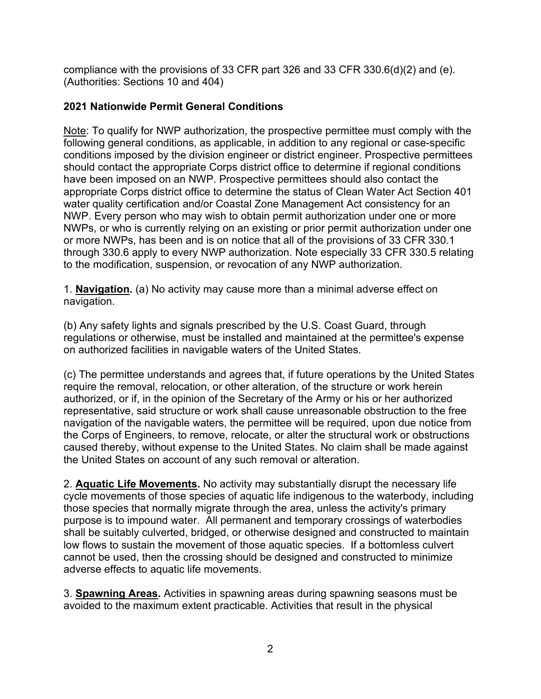compliance with the provisions of 33 CFR part 326 and 33 CFR 330.6(d)(2) and (e). (Authorities: Sections 10 and 404)

## **2021 Nationwide Permit General Conditions**

Note: To qualify for NWP authorization, the prospective permittee must comply with the following general conditions, as applicable, in addition to any regional or case-specific conditions imposed by the division engineer or district engineer. Prospective permittees should contact the appropriate Corps district office to determine if regional conditions have been imposed on an NWP. Prospective permittees should also contact the appropriate Corps district office to determine the status of Clean Water Act Section 401 water quality certification and/or Coastal Zone Management Act consistency for an NWP. Every person who may wish to obtain permit authorization under one or more NWPs, or who is currently relying on an existing or prior permit authorization under one or more NWPs, has been and is on notice that all of the provisions of 33 CFR 330.1 through 330.6 apply to every NWP authorization. Note especially 33 CFR 330.5 relating to the modification, suspension, or revocation of any NWP authorization.

1. **Navigation.** (a) No activity may cause more than a minimal adverse effect on navigation.

(b) Any safety lights and signals prescribed by the U.S. Coast Guard, through regulations or otherwise, must be installed and maintained at the permittee's expense on authorized facilities in navigable waters of the United States.

(c) The permittee understands and agrees that, if future operations by the United States require the removal, relocation, or other alteration, of the structure or work herein authorized, or if, in the opinion of the Secretary of the Army or his or her authorized representative, said structure or work shall cause unreasonable obstruction to the free navigation of the navigable waters, the permittee will be required, upon due notice from the Corps of Engineers, to remove, relocate, or alter the structural work or obstructions caused thereby, without expense to the United States. No claim shall be made against the United States on account of any such removal or alteration.

2. **Aquatic Life Movements.** No activity may substantially disrupt the necessary life cycle movements of those species of aquatic life indigenous to the waterbody, including those species that normally migrate through the area, unless the activity's primary purpose is to impound water. All permanent and temporary crossings of waterbodies shall be suitably culverted, bridged, or otherwise designed and constructed to maintain low flows to sustain the movement of those aquatic species. If a bottomless culvert cannot be used, then the crossing should be designed and constructed to minimize adverse effects to aquatic life movements.

3. **Spawning Areas.** Activities in spawning areas during spawning seasons must be avoided to the maximum extent practicable. Activities that result in the physical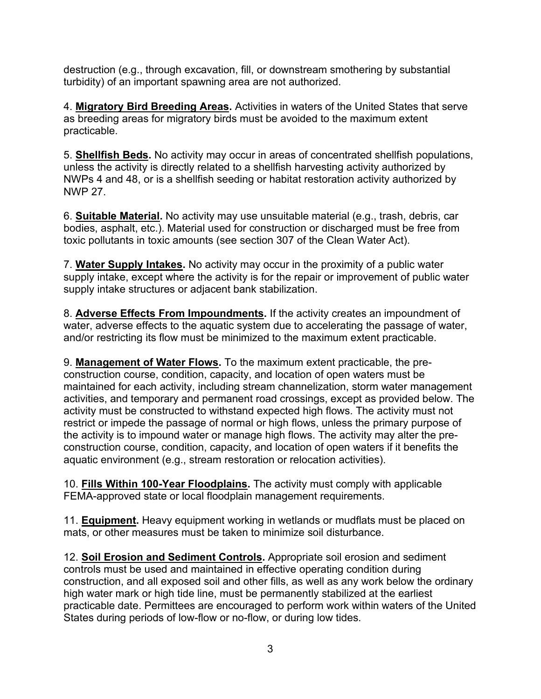destruction (e.g., through excavation, fill, or downstream smothering by substantial turbidity) of an important spawning area are not authorized.

4. **Migratory Bird Breeding Areas.** Activities in waters of the United States that serve as breeding areas for migratory birds must be avoided to the maximum extent practicable.

5. **Shellfish Beds.** No activity may occur in areas of concentrated shellfish populations, unless the activity is directly related to a shellfish harvesting activity authorized by NWPs 4 and 48, or is a shellfish seeding or habitat restoration activity authorized by NWP 27.

6. **Suitable Material.** No activity may use unsuitable material (e.g., trash, debris, car bodies, asphalt, etc.). Material used for construction or discharged must be free from toxic pollutants in toxic amounts (see section 307 of the Clean Water Act).

7. **Water Supply Intakes.** No activity may occur in the proximity of a public water supply intake, except where the activity is for the repair or improvement of public water supply intake structures or adjacent bank stabilization.

8. **Adverse Effects From Impoundments.** If the activity creates an impoundment of water, adverse effects to the aquatic system due to accelerating the passage of water, and/or restricting its flow must be minimized to the maximum extent practicable.

9. **Management of Water Flows.** To the maximum extent practicable, the preconstruction course, condition, capacity, and location of open waters must be maintained for each activity, including stream channelization, storm water management activities, and temporary and permanent road crossings, except as provided below. The activity must be constructed to withstand expected high flows. The activity must not restrict or impede the passage of normal or high flows, unless the primary purpose of the activity is to impound water or manage high flows. The activity may alter the preconstruction course, condition, capacity, and location of open waters if it benefits the aquatic environment (e.g., stream restoration or relocation activities).

10. **Fills Within 100-Year Floodplains.** The activity must comply with applicable FEMA-approved state or local floodplain management requirements.

11. **Equipment.** Heavy equipment working in wetlands or mudflats must be placed on mats, or other measures must be taken to minimize soil disturbance.

12. **Soil Erosion and Sediment Controls.** Appropriate soil erosion and sediment controls must be used and maintained in effective operating condition during construction, and all exposed soil and other fills, as well as any work below the ordinary high water mark or high tide line, must be permanently stabilized at the earliest practicable date. Permittees are encouraged to perform work within waters of the United States during periods of low-flow or no-flow, or during low tides.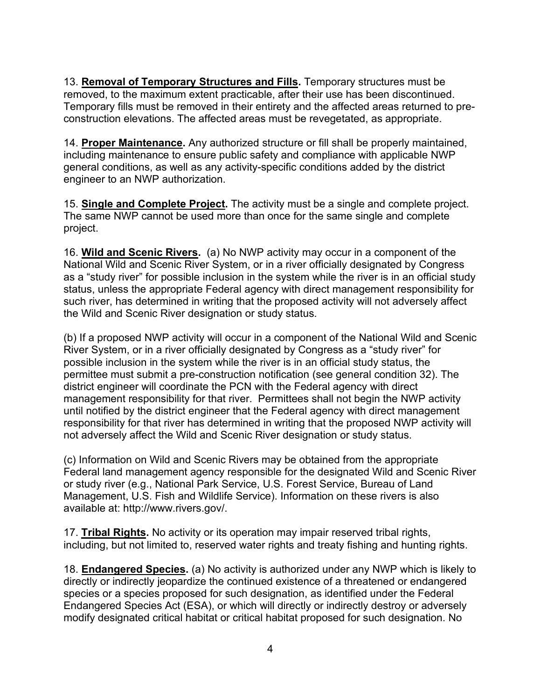13. **Removal of Temporary Structures and Fills.** Temporary structures must be removed, to the maximum extent practicable, after their use has been discontinued. Temporary fills must be removed in their entirety and the affected areas returned to preconstruction elevations. The affected areas must be revegetated, as appropriate.

14. **Proper Maintenance.** Any authorized structure or fill shall be properly maintained, including maintenance to ensure public safety and compliance with applicable NWP general conditions, as well as any activity-specific conditions added by the district engineer to an NWP authorization.

15. **Single and Complete Project.** The activity must be a single and complete project. The same NWP cannot be used more than once for the same single and complete project.

16. **Wild and Scenic Rivers.** (a) No NWP activity may occur in a component of the National Wild and Scenic River System, or in a river officially designated by Congress as a "study river" for possible inclusion in the system while the river is in an official study status, unless the appropriate Federal agency with direct management responsibility for such river, has determined in writing that the proposed activity will not adversely affect the Wild and Scenic River designation or study status.

(b) If a proposed NWP activity will occur in a component of the National Wild and Scenic River System, or in a river officially designated by Congress as a "study river" for possible inclusion in the system while the river is in an official study status, the permittee must submit a pre-construction notification (see general condition 32). The district engineer will coordinate the PCN with the Federal agency with direct management responsibility for that river. Permittees shall not begin the NWP activity until notified by the district engineer that the Federal agency with direct management responsibility for that river has determined in writing that the proposed NWP activity will not adversely affect the Wild and Scenic River designation or study status.

(c) Information on Wild and Scenic Rivers may be obtained from the appropriate Federal land management agency responsible for the designated Wild and Scenic River or study river (e.g., National Park Service, U.S. Forest Service, Bureau of Land Management, U.S. Fish and Wildlife Service). Information on these rivers is also available at: http://www.rivers.gov/.

17. **Tribal Rights.** No activity or its operation may impair reserved tribal rights, including, but not limited to, reserved water rights and treaty fishing and hunting rights.

18. **Endangered Species.** (a) No activity is authorized under any NWP which is likely to directly or indirectly jeopardize the continued existence of a threatened or endangered species or a species proposed for such designation, as identified under the Federal Endangered Species Act (ESA), or which will directly or indirectly destroy or adversely modify designated critical habitat or critical habitat proposed for such designation. No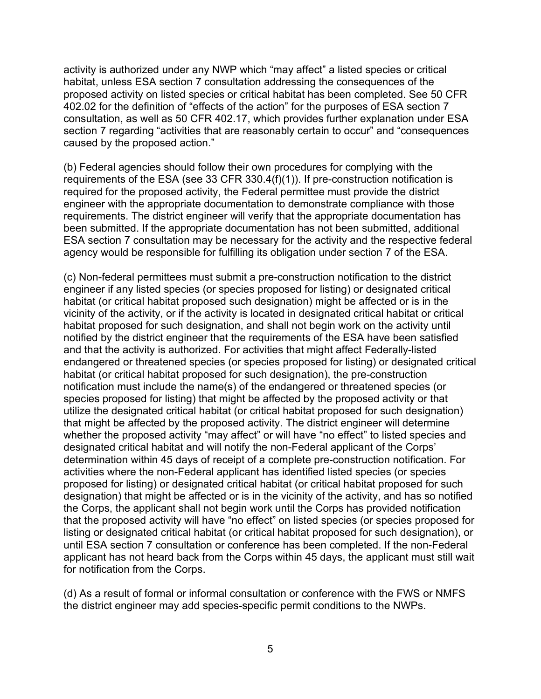activity is authorized under any NWP which "may affect" a listed species or critical habitat, unless ESA section 7 consultation addressing the consequences of the proposed activity on listed species or critical habitat has been completed. See 50 CFR 402.02 for the definition of "effects of the action" for the purposes of ESA section 7 consultation, as well as 50 CFR 402.17, which provides further explanation under ESA section 7 regarding "activities that are reasonably certain to occur" and "consequences caused by the proposed action."

(b) Federal agencies should follow their own procedures for complying with the requirements of the ESA (see 33 CFR 330.4(f)(1)). If pre-construction notification is required for the proposed activity, the Federal permittee must provide the district engineer with the appropriate documentation to demonstrate compliance with those requirements. The district engineer will verify that the appropriate documentation has been submitted. If the appropriate documentation has not been submitted, additional ESA section 7 consultation may be necessary for the activity and the respective federal agency would be responsible for fulfilling its obligation under section 7 of the ESA.

(c) Non-federal permittees must submit a pre-construction notification to the district engineer if any listed species (or species proposed for listing) or designated critical habitat (or critical habitat proposed such designation) might be affected or is in the vicinity of the activity, or if the activity is located in designated critical habitat or critical habitat proposed for such designation, and shall not begin work on the activity until notified by the district engineer that the requirements of the ESA have been satisfied and that the activity is authorized. For activities that might affect Federally-listed endangered or threatened species (or species proposed for listing) or designated critical habitat (or critical habitat proposed for such designation), the pre-construction notification must include the name(s) of the endangered or threatened species (or species proposed for listing) that might be affected by the proposed activity or that utilize the designated critical habitat (or critical habitat proposed for such designation) that might be affected by the proposed activity. The district engineer will determine whether the proposed activity "may affect" or will have "no effect" to listed species and designated critical habitat and will notify the non-Federal applicant of the Corps' determination within 45 days of receipt of a complete pre-construction notification. For activities where the non-Federal applicant has identified listed species (or species proposed for listing) or designated critical habitat (or critical habitat proposed for such designation) that might be affected or is in the vicinity of the activity, and has so notified the Corps, the applicant shall not begin work until the Corps has provided notification that the proposed activity will have "no effect" on listed species (or species proposed for listing or designated critical habitat (or critical habitat proposed for such designation), or until ESA section 7 consultation or conference has been completed. If the non-Federal applicant has not heard back from the Corps within 45 days, the applicant must still wait for notification from the Corps.

(d) As a result of formal or informal consultation or conference with the FWS or NMFS the district engineer may add species-specific permit conditions to the NWPs.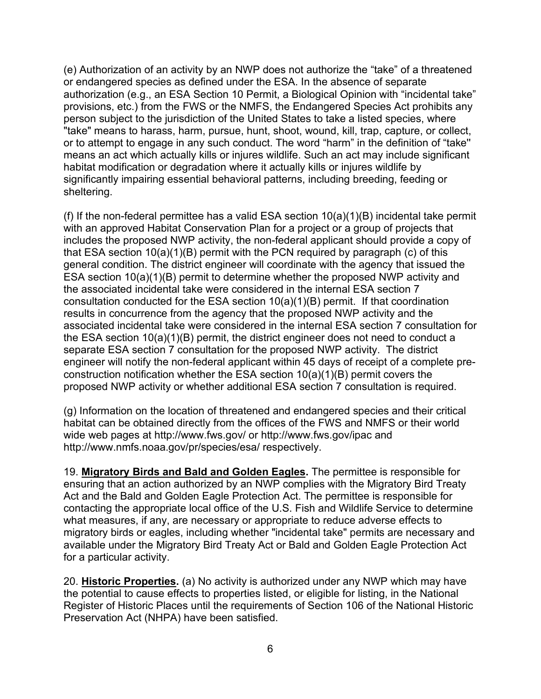(e) Authorization of an activity by an NWP does not authorize the "take" of a threatened or endangered species as defined under the ESA. In the absence of separate authorization (e.g., an ESA Section 10 Permit, a Biological Opinion with "incidental take" provisions, etc.) from the FWS or the NMFS, the Endangered Species Act prohibits any person subject to the jurisdiction of the United States to take a listed species, where "take" means to harass, harm, pursue, hunt, shoot, wound, kill, trap, capture, or collect, or to attempt to engage in any such conduct. The word "harm" in the definition of "take'' means an act which actually kills or injures wildlife. Such an act may include significant habitat modification or degradation where it actually kills or injures wildlife by significantly impairing essential behavioral patterns, including breeding, feeding or sheltering.

(f) If the non-federal permittee has a valid ESA section  $10(a)(1)(B)$  incidental take permit with an approved Habitat Conservation Plan for a project or a group of projects that includes the proposed NWP activity, the non-federal applicant should provide a copy of that ESA section 10(a)(1)(B) permit with the PCN required by paragraph (c) of this general condition. The district engineer will coordinate with the agency that issued the ESA section 10(a)(1)(B) permit to determine whether the proposed NWP activity and the associated incidental take were considered in the internal ESA section 7 consultation conducted for the ESA section 10(a)(1)(B) permit. If that coordination results in concurrence from the agency that the proposed NWP activity and the associated incidental take were considered in the internal ESA section 7 consultation for the ESA section 10(a)(1)(B) permit, the district engineer does not need to conduct a separate ESA section 7 consultation for the proposed NWP activity. The district engineer will notify the non-federal applicant within 45 days of receipt of a complete preconstruction notification whether the ESA section 10(a)(1)(B) permit covers the proposed NWP activity or whether additional ESA section 7 consultation is required.

(g) Information on the location of threatened and endangered species and their critical habitat can be obtained directly from the offices of the FWS and NMFS or their world wide web pages at http://www.fws.gov/ or http://www.fws.gov/ipac and http://www.nmfs.noaa.gov/pr/species/esa/ respectively.

19. **Migratory Birds and Bald and Golden Eagles.** The permittee is responsible for ensuring that an action authorized by an NWP complies with the Migratory Bird Treaty Act and the Bald and Golden Eagle Protection Act. The permittee is responsible for contacting the appropriate local office of the U.S. Fish and Wildlife Service to determine what measures, if any, are necessary or appropriate to reduce adverse effects to migratory birds or eagles, including whether "incidental take" permits are necessary and available under the Migratory Bird Treaty Act or Bald and Golden Eagle Protection Act for a particular activity.

20. **Historic Properties.** (a) No activity is authorized under any NWP which may have the potential to cause effects to properties listed, or eligible for listing, in the National Register of Historic Places until the requirements of Section 106 of the National Historic Preservation Act (NHPA) have been satisfied.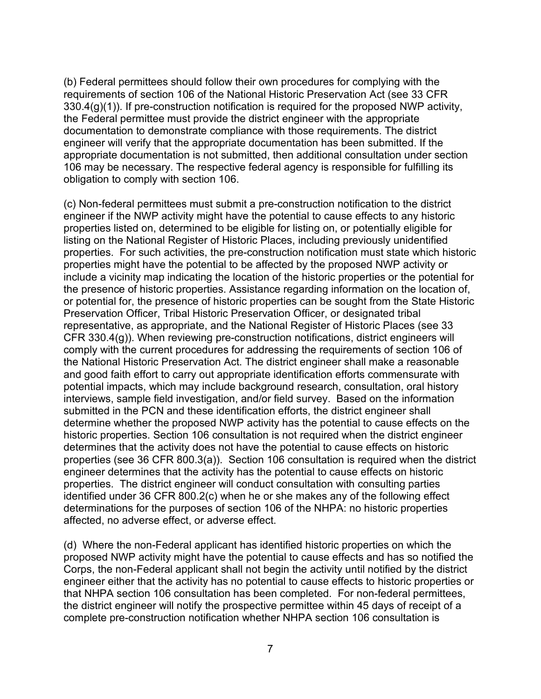(b) Federal permittees should follow their own procedures for complying with the requirements of section 106 of the National Historic Preservation Act (see 33 CFR 330.4(g)(1)). If pre-construction notification is required for the proposed NWP activity, the Federal permittee must provide the district engineer with the appropriate documentation to demonstrate compliance with those requirements. The district engineer will verify that the appropriate documentation has been submitted. If the appropriate documentation is not submitted, then additional consultation under section 106 may be necessary. The respective federal agency is responsible for fulfilling its obligation to comply with section 106.

(c) Non-federal permittees must submit a pre-construction notification to the district engineer if the NWP activity might have the potential to cause effects to any historic properties listed on, determined to be eligible for listing on, or potentially eligible for listing on the National Register of Historic Places, including previously unidentified properties. For such activities, the pre-construction notification must state which historic properties might have the potential to be affected by the proposed NWP activity or include a vicinity map indicating the location of the historic properties or the potential for the presence of historic properties. Assistance regarding information on the location of, or potential for, the presence of historic properties can be sought from the State Historic Preservation Officer, Tribal Historic Preservation Officer, or designated tribal representative, as appropriate, and the National Register of Historic Places (see 33 CFR 330.4(g)). When reviewing pre-construction notifications, district engineers will comply with the current procedures for addressing the requirements of section 106 of the National Historic Preservation Act. The district engineer shall make a reasonable and good faith effort to carry out appropriate identification efforts commensurate with potential impacts, which may include background research, consultation, oral history interviews, sample field investigation, and/or field survey. Based on the information submitted in the PCN and these identification efforts, the district engineer shall determine whether the proposed NWP activity has the potential to cause effects on the historic properties. Section 106 consultation is not required when the district engineer determines that the activity does not have the potential to cause effects on historic properties (see 36 CFR 800.3(a)). Section 106 consultation is required when the district engineer determines that the activity has the potential to cause effects on historic properties. The district engineer will conduct consultation with consulting parties identified under 36 CFR 800.2(c) when he or she makes any of the following effect determinations for the purposes of section 106 of the NHPA: no historic properties affected, no adverse effect, or adverse effect.

(d) Where the non-Federal applicant has identified historic properties on which the proposed NWP activity might have the potential to cause effects and has so notified the Corps, the non-Federal applicant shall not begin the activity until notified by the district engineer either that the activity has no potential to cause effects to historic properties or that NHPA section 106 consultation has been completed. For non-federal permittees, the district engineer will notify the prospective permittee within 45 days of receipt of a complete pre-construction notification whether NHPA section 106 consultation is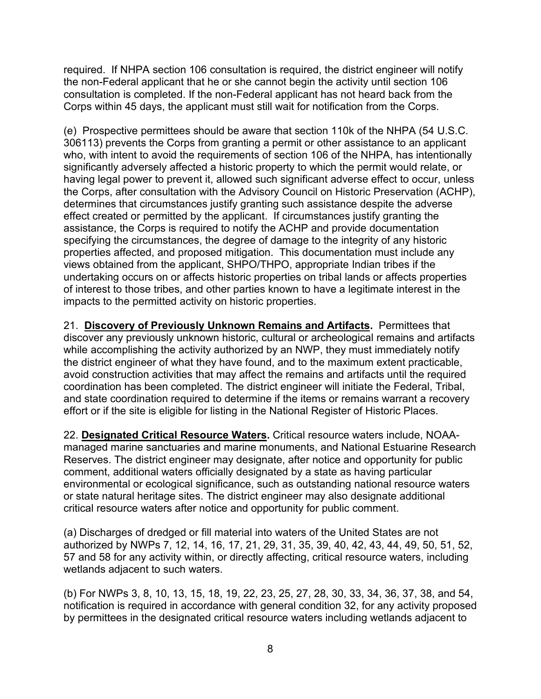required. If NHPA section 106 consultation is required, the district engineer will notify the non-Federal applicant that he or she cannot begin the activity until section 106 consultation is completed. If the non-Federal applicant has not heard back from the Corps within 45 days, the applicant must still wait for notification from the Corps.

(e) Prospective permittees should be aware that section 110k of the NHPA (54 U.S.C. 306113) prevents the Corps from granting a permit or other assistance to an applicant who, with intent to avoid the requirements of section 106 of the NHPA, has intentionally significantly adversely affected a historic property to which the permit would relate, or having legal power to prevent it, allowed such significant adverse effect to occur, unless the Corps, after consultation with the Advisory Council on Historic Preservation (ACHP), determines that circumstances justify granting such assistance despite the adverse effect created or permitted by the applicant. If circumstances justify granting the assistance, the Corps is required to notify the ACHP and provide documentation specifying the circumstances, the degree of damage to the integrity of any historic properties affected, and proposed mitigation. This documentation must include any views obtained from the applicant, SHPO/THPO, appropriate Indian tribes if the undertaking occurs on or affects historic properties on tribal lands or affects properties of interest to those tribes, and other parties known to have a legitimate interest in the impacts to the permitted activity on historic properties.

21. **Discovery of Previously Unknown Remains and Artifacts.** Permittees that discover any previously unknown historic, cultural or archeological remains and artifacts while accomplishing the activity authorized by an NWP, they must immediately notify the district engineer of what they have found, and to the maximum extent practicable, avoid construction activities that may affect the remains and artifacts until the required coordination has been completed. The district engineer will initiate the Federal, Tribal, and state coordination required to determine if the items or remains warrant a recovery effort or if the site is eligible for listing in the National Register of Historic Places.

22. **Designated Critical Resource Waters.** Critical resource waters include, NOAAmanaged marine sanctuaries and marine monuments, and National Estuarine Research Reserves. The district engineer may designate, after notice and opportunity for public comment, additional waters officially designated by a state as having particular environmental or ecological significance, such as outstanding national resource waters or state natural heritage sites. The district engineer may also designate additional critical resource waters after notice and opportunity for public comment.

(a) Discharges of dredged or fill material into waters of the United States are not authorized by NWPs 7, 12, 14, 16, 17, 21, 29, 31, 35, 39, 40, 42, 43, 44, 49, 50, 51, 52, 57 and 58 for any activity within, or directly affecting, critical resource waters, including wetlands adjacent to such waters.

(b) For NWPs 3, 8, 10, 13, 15, 18, 19, 22, 23, 25, 27, 28, 30, 33, 34, 36, 37, 38, and 54, notification is required in accordance with general condition 32, for any activity proposed by permittees in the designated critical resource waters including wetlands adjacent to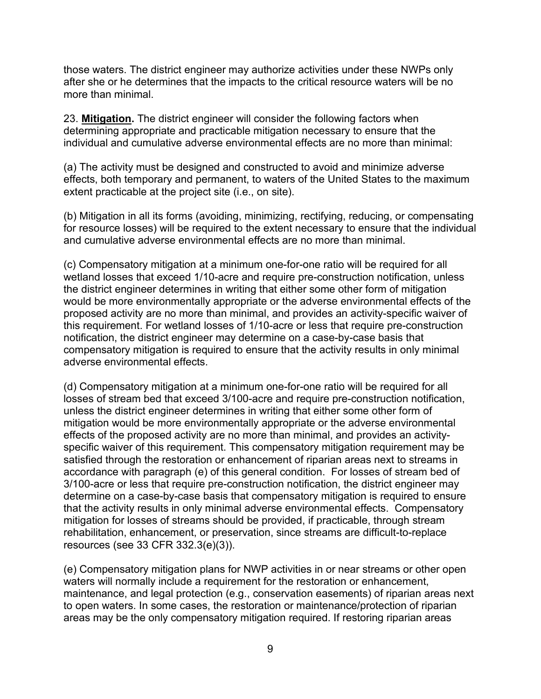those waters. The district engineer may authorize activities under these NWPs only after she or he determines that the impacts to the critical resource waters will be no more than minimal.

23. **Mitigation.** The district engineer will consider the following factors when determining appropriate and practicable mitigation necessary to ensure that the individual and cumulative adverse environmental effects are no more than minimal:

(a) The activity must be designed and constructed to avoid and minimize adverse effects, both temporary and permanent, to waters of the United States to the maximum extent practicable at the project site (i.e., on site).

(b) Mitigation in all its forms (avoiding, minimizing, rectifying, reducing, or compensating for resource losses) will be required to the extent necessary to ensure that the individual and cumulative adverse environmental effects are no more than minimal.

(c) Compensatory mitigation at a minimum one-for-one ratio will be required for all wetland losses that exceed 1/10-acre and require pre-construction notification, unless the district engineer determines in writing that either some other form of mitigation would be more environmentally appropriate or the adverse environmental effects of the proposed activity are no more than minimal, and provides an activity-specific waiver of this requirement. For wetland losses of 1/10-acre or less that require pre-construction notification, the district engineer may determine on a case-by-case basis that compensatory mitigation is required to ensure that the activity results in only minimal adverse environmental effects.

(d) Compensatory mitigation at a minimum one-for-one ratio will be required for all losses of stream bed that exceed 3/100-acre and require pre-construction notification, unless the district engineer determines in writing that either some other form of mitigation would be more environmentally appropriate or the adverse environmental effects of the proposed activity are no more than minimal, and provides an activityspecific waiver of this requirement. This compensatory mitigation requirement may be satisfied through the restoration or enhancement of riparian areas next to streams in accordance with paragraph (e) of this general condition. For losses of stream bed of 3/100-acre or less that require pre-construction notification, the district engineer may determine on a case-by-case basis that compensatory mitigation is required to ensure that the activity results in only minimal adverse environmental effects. Compensatory mitigation for losses of streams should be provided, if practicable, through stream rehabilitation, enhancement, or preservation, since streams are difficult-to-replace resources (see 33 CFR 332.3(e)(3)).

(e) Compensatory mitigation plans for NWP activities in or near streams or other open waters will normally include a requirement for the restoration or enhancement, maintenance, and legal protection (e.g., conservation easements) of riparian areas next to open waters. In some cases, the restoration or maintenance/protection of riparian areas may be the only compensatory mitigation required. If restoring riparian areas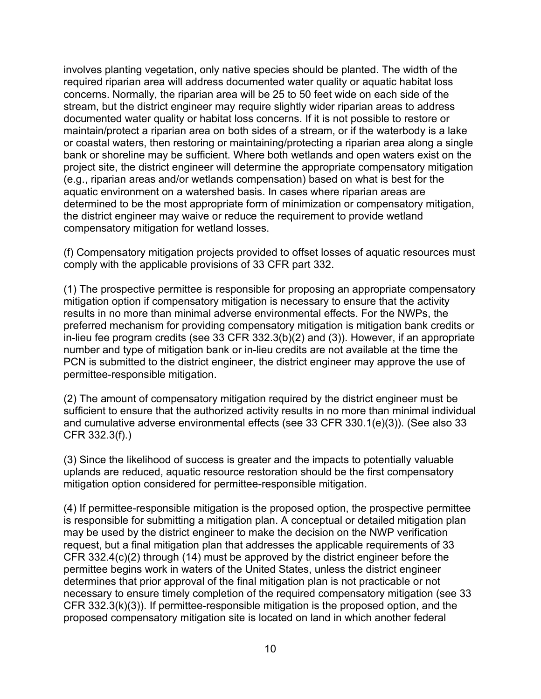involves planting vegetation, only native species should be planted. The width of the required riparian area will address documented water quality or aquatic habitat loss concerns. Normally, the riparian area will be 25 to 50 feet wide on each side of the stream, but the district engineer may require slightly wider riparian areas to address documented water quality or habitat loss concerns. If it is not possible to restore or maintain/protect a riparian area on both sides of a stream, or if the waterbody is a lake or coastal waters, then restoring or maintaining/protecting a riparian area along a single bank or shoreline may be sufficient. Where both wetlands and open waters exist on the project site, the district engineer will determine the appropriate compensatory mitigation (e.g., riparian areas and/or wetlands compensation) based on what is best for the aquatic environment on a watershed basis. In cases where riparian areas are determined to be the most appropriate form of minimization or compensatory mitigation, the district engineer may waive or reduce the requirement to provide wetland compensatory mitigation for wetland losses.

(f) Compensatory mitigation projects provided to offset losses of aquatic resources must comply with the applicable provisions of 33 CFR part 332.

(1) The prospective permittee is responsible for proposing an appropriate compensatory mitigation option if compensatory mitigation is necessary to ensure that the activity results in no more than minimal adverse environmental effects. For the NWPs, the preferred mechanism for providing compensatory mitigation is mitigation bank credits or in-lieu fee program credits (see 33 CFR 332.3(b)(2) and (3)). However, if an appropriate number and type of mitigation bank or in-lieu credits are not available at the time the PCN is submitted to the district engineer, the district engineer may approve the use of permittee-responsible mitigation.

(2) The amount of compensatory mitigation required by the district engineer must be sufficient to ensure that the authorized activity results in no more than minimal individual and cumulative adverse environmental effects (see 33 CFR 330.1(e)(3)). (See also 33 CFR 332.3(f).)

(3) Since the likelihood of success is greater and the impacts to potentially valuable uplands are reduced, aquatic resource restoration should be the first compensatory mitigation option considered for permittee-responsible mitigation.

(4) If permittee-responsible mitigation is the proposed option, the prospective permittee is responsible for submitting a mitigation plan. A conceptual or detailed mitigation plan may be used by the district engineer to make the decision on the NWP verification request, but a final mitigation plan that addresses the applicable requirements of 33 CFR 332.4(c)(2) through (14) must be approved by the district engineer before the permittee begins work in waters of the United States, unless the district engineer determines that prior approval of the final mitigation plan is not practicable or not necessary to ensure timely completion of the required compensatory mitigation (see 33 CFR 332.3(k)(3)). If permittee-responsible mitigation is the proposed option, and the proposed compensatory mitigation site is located on land in which another federal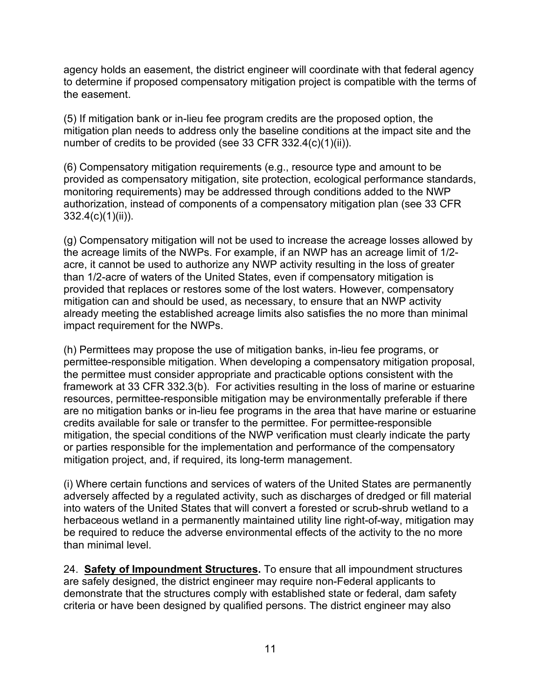agency holds an easement, the district engineer will coordinate with that federal agency to determine if proposed compensatory mitigation project is compatible with the terms of the easement.

(5) If mitigation bank or in-lieu fee program credits are the proposed option, the mitigation plan needs to address only the baseline conditions at the impact site and the number of credits to be provided (see 33 CFR 332.4(c)(1)(ii)).

(6) Compensatory mitigation requirements (e.g., resource type and amount to be provided as compensatory mitigation, site protection, ecological performance standards, monitoring requirements) may be addressed through conditions added to the NWP authorization, instead of components of a compensatory mitigation plan (see 33 CFR 332.4(c)(1)(ii)).

(g) Compensatory mitigation will not be used to increase the acreage losses allowed by the acreage limits of the NWPs. For example, if an NWP has an acreage limit of 1/2 acre, it cannot be used to authorize any NWP activity resulting in the loss of greater than 1/2-acre of waters of the United States, even if compensatory mitigation is provided that replaces or restores some of the lost waters. However, compensatory mitigation can and should be used, as necessary, to ensure that an NWP activity already meeting the established acreage limits also satisfies the no more than minimal impact requirement for the NWPs.

(h) Permittees may propose the use of mitigation banks, in-lieu fee programs, or permittee-responsible mitigation. When developing a compensatory mitigation proposal, the permittee must consider appropriate and practicable options consistent with the framework at 33 CFR 332.3(b). For activities resulting in the loss of marine or estuarine resources, permittee-responsible mitigation may be environmentally preferable if there are no mitigation banks or in-lieu fee programs in the area that have marine or estuarine credits available for sale or transfer to the permittee. For permittee-responsible mitigation, the special conditions of the NWP verification must clearly indicate the party or parties responsible for the implementation and performance of the compensatory mitigation project, and, if required, its long-term management.

(i) Where certain functions and services of waters of the United States are permanently adversely affected by a regulated activity, such as discharges of dredged or fill material into waters of the United States that will convert a forested or scrub-shrub wetland to a herbaceous wetland in a permanently maintained utility line right-of-way, mitigation may be required to reduce the adverse environmental effects of the activity to the no more than minimal level.

24. **Safety of Impoundment Structures.** To ensure that all impoundment structures are safely designed, the district engineer may require non-Federal applicants to demonstrate that the structures comply with established state or federal, dam safety criteria or have been designed by qualified persons. The district engineer may also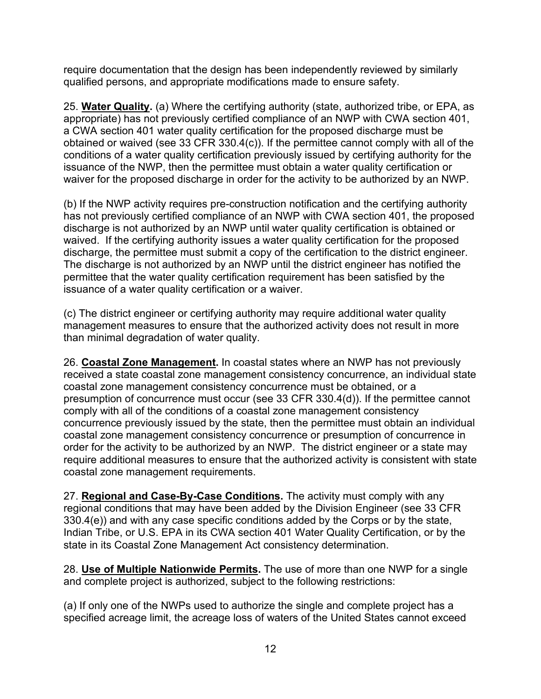require documentation that the design has been independently reviewed by similarly qualified persons, and appropriate modifications made to ensure safety.

25. **Water Quality.** (a) Where the certifying authority (state, authorized tribe, or EPA, as appropriate) has not previously certified compliance of an NWP with CWA section 401, a CWA section 401 water quality certification for the proposed discharge must be obtained or waived (see 33 CFR 330.4(c)). If the permittee cannot comply with all of the conditions of a water quality certification previously issued by certifying authority for the issuance of the NWP, then the permittee must obtain a water quality certification or waiver for the proposed discharge in order for the activity to be authorized by an NWP.

(b) If the NWP activity requires pre-construction notification and the certifying authority has not previously certified compliance of an NWP with CWA section 401, the proposed discharge is not authorized by an NWP until water quality certification is obtained or waived. If the certifying authority issues a water quality certification for the proposed discharge, the permittee must submit a copy of the certification to the district engineer. The discharge is not authorized by an NWP until the district engineer has notified the permittee that the water quality certification requirement has been satisfied by the issuance of a water quality certification or a waiver.

(c) The district engineer or certifying authority may require additional water quality management measures to ensure that the authorized activity does not result in more than minimal degradation of water quality.

26. **Coastal Zone Management.** In coastal states where an NWP has not previously received a state coastal zone management consistency concurrence, an individual state coastal zone management consistency concurrence must be obtained, or a presumption of concurrence must occur (see 33 CFR 330.4(d)). If the permittee cannot comply with all of the conditions of a coastal zone management consistency concurrence previously issued by the state, then the permittee must obtain an individual coastal zone management consistency concurrence or presumption of concurrence in order for the activity to be authorized by an NWP. The district engineer or a state may require additional measures to ensure that the authorized activity is consistent with state coastal zone management requirements.

27. **Regional and Case-By-Case Conditions.** The activity must comply with any regional conditions that may have been added by the Division Engineer (see 33 CFR 330.4(e)) and with any case specific conditions added by the Corps or by the state, Indian Tribe, or U.S. EPA in its CWA section 401 Water Quality Certification, or by the state in its Coastal Zone Management Act consistency determination.

28. **Use of Multiple Nationwide Permits.** The use of more than one NWP for a single and complete project is authorized, subject to the following restrictions:

(a) If only one of the NWPs used to authorize the single and complete project has a specified acreage limit, the acreage loss of waters of the United States cannot exceed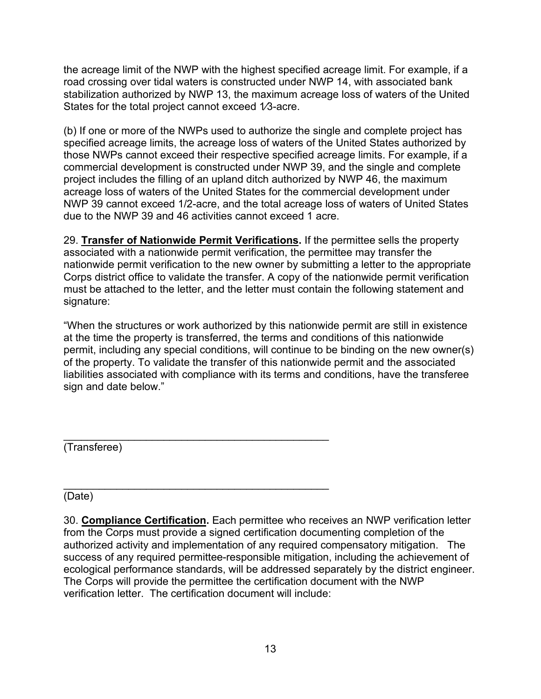the acreage limit of the NWP with the highest specified acreage limit. For example, if a road crossing over tidal waters is constructed under NWP 14, with associated bank stabilization authorized by NWP 13, the maximum acreage loss of waters of the United States for the total project cannot exceed 1⁄3-acre.

(b) If one or more of the NWPs used to authorize the single and complete project has specified acreage limits, the acreage loss of waters of the United States authorized by those NWPs cannot exceed their respective specified acreage limits. For example, if a commercial development is constructed under NWP 39, and the single and complete project includes the filling of an upland ditch authorized by NWP 46, the maximum acreage loss of waters of the United States for the commercial development under NWP 39 cannot exceed 1/2-acre, and the total acreage loss of waters of United States due to the NWP 39 and 46 activities cannot exceed 1 acre.

29. **Transfer of Nationwide Permit Verifications.** If the permittee sells the property associated with a nationwide permit verification, the permittee may transfer the nationwide permit verification to the new owner by submitting a letter to the appropriate Corps district office to validate the transfer. A copy of the nationwide permit verification must be attached to the letter, and the letter must contain the following statement and signature:

"When the structures or work authorized by this nationwide permit are still in existence at the time the property is transferred, the terms and conditions of this nationwide permit, including any special conditions, will continue to be binding on the new owner(s) of the property. To validate the transfer of this nationwide permit and the associated liabilities associated with compliance with its terms and conditions, have the transferee sign and date below."

\_\_\_\_\_\_\_\_\_\_\_\_\_\_\_\_\_\_\_\_\_\_\_\_\_\_\_\_\_\_\_\_\_\_\_\_\_\_\_\_\_\_\_\_\_ (Transferee)

\_\_\_\_\_\_\_\_\_\_\_\_\_\_\_\_\_\_\_\_\_\_\_\_\_\_\_\_\_\_\_\_\_\_\_\_\_\_\_\_\_\_\_\_\_ (Date)

30. **Compliance Certification.** Each permittee who receives an NWP verification letter from the Corps must provide a signed certification documenting completion of the authorized activity and implementation of any required compensatory mitigation. The success of any required permittee-responsible mitigation, including the achievement of ecological performance standards, will be addressed separately by the district engineer. The Corps will provide the permittee the certification document with the NWP verification letter. The certification document will include: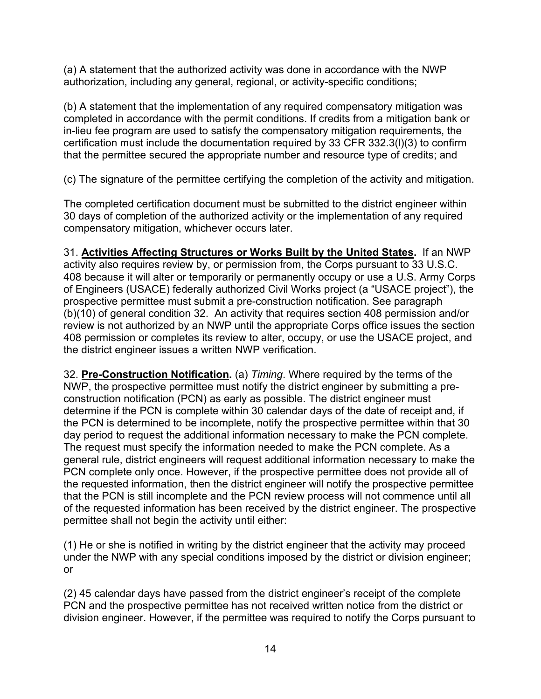(a) A statement that the authorized activity was done in accordance with the NWP authorization, including any general, regional, or activity-specific conditions;

(b) A statement that the implementation of any required compensatory mitigation was completed in accordance with the permit conditions. If credits from a mitigation bank or in-lieu fee program are used to satisfy the compensatory mitigation requirements, the certification must include the documentation required by 33 CFR 332.3(l)(3) to confirm that the permittee secured the appropriate number and resource type of credits; and

(c) The signature of the permittee certifying the completion of the activity and mitigation.

The completed certification document must be submitted to the district engineer within 30 days of completion of the authorized activity or the implementation of any required compensatory mitigation, whichever occurs later.

31. **Activities Affecting Structures or Works Built by the United States.** If an NWP activity also requires review by, or permission from, the Corps pursuant to 33 U.S.C. 408 because it will alter or temporarily or permanently occupy or use a U.S. Army Corps of Engineers (USACE) federally authorized Civil Works project (a "USACE project"), the prospective permittee must submit a pre-construction notification. See paragraph (b)(10) of general condition 32. An activity that requires section 408 permission and/or review is not authorized by an NWP until the appropriate Corps office issues the section 408 permission or completes its review to alter, occupy, or use the USACE project, and the district engineer issues a written NWP verification.

32. **Pre-Construction Notification.** (a) *Timing*. Where required by the terms of the NWP, the prospective permittee must notify the district engineer by submitting a preconstruction notification (PCN) as early as possible. The district engineer must determine if the PCN is complete within 30 calendar days of the date of receipt and, if the PCN is determined to be incomplete, notify the prospective permittee within that 30 day period to request the additional information necessary to make the PCN complete. The request must specify the information needed to make the PCN complete. As a general rule, district engineers will request additional information necessary to make the PCN complete only once. However, if the prospective permittee does not provide all of the requested information, then the district engineer will notify the prospective permittee that the PCN is still incomplete and the PCN review process will not commence until all of the requested information has been received by the district engineer. The prospective permittee shall not begin the activity until either:

(1) He or she is notified in writing by the district engineer that the activity may proceed under the NWP with any special conditions imposed by the district or division engineer; or

(2) 45 calendar days have passed from the district engineer's receipt of the complete PCN and the prospective permittee has not received written notice from the district or division engineer. However, if the permittee was required to notify the Corps pursuant to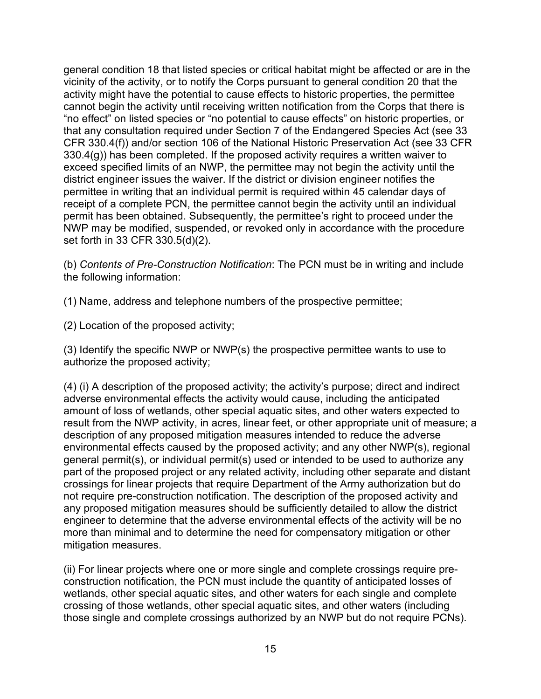general condition 18 that listed species or critical habitat might be affected or are in the vicinity of the activity, or to notify the Corps pursuant to general condition 20 that the activity might have the potential to cause effects to historic properties, the permittee cannot begin the activity until receiving written notification from the Corps that there is "no effect" on listed species or "no potential to cause effects" on historic properties, or that any consultation required under Section 7 of the Endangered Species Act (see 33 CFR 330.4(f)) and/or section 106 of the National Historic Preservation Act (see 33 CFR 330.4(g)) has been completed. If the proposed activity requires a written waiver to exceed specified limits of an NWP, the permittee may not begin the activity until the district engineer issues the waiver. If the district or division engineer notifies the permittee in writing that an individual permit is required within 45 calendar days of receipt of a complete PCN, the permittee cannot begin the activity until an individual permit has been obtained. Subsequently, the permittee's right to proceed under the NWP may be modified, suspended, or revoked only in accordance with the procedure set forth in 33 CFR 330.5(d)(2).

(b) *Contents of Pre-Construction Notification*: The PCN must be in writing and include the following information:

(1) Name, address and telephone numbers of the prospective permittee;

(2) Location of the proposed activity;

(3) Identify the specific NWP or NWP(s) the prospective permittee wants to use to authorize the proposed activity;

(4) (i) A description of the proposed activity; the activity's purpose; direct and indirect adverse environmental effects the activity would cause, including the anticipated amount of loss of wetlands, other special aquatic sites, and other waters expected to result from the NWP activity, in acres, linear feet, or other appropriate unit of measure; a description of any proposed mitigation measures intended to reduce the adverse environmental effects caused by the proposed activity; and any other NWP(s), regional general permit(s), or individual permit(s) used or intended to be used to authorize any part of the proposed project or any related activity, including other separate and distant crossings for linear projects that require Department of the Army authorization but do not require pre-construction notification. The description of the proposed activity and any proposed mitigation measures should be sufficiently detailed to allow the district engineer to determine that the adverse environmental effects of the activity will be no more than minimal and to determine the need for compensatory mitigation or other mitigation measures.

(ii) For linear projects where one or more single and complete crossings require preconstruction notification, the PCN must include the quantity of anticipated losses of wetlands, other special aquatic sites, and other waters for each single and complete crossing of those wetlands, other special aquatic sites, and other waters (including those single and complete crossings authorized by an NWP but do not require PCNs).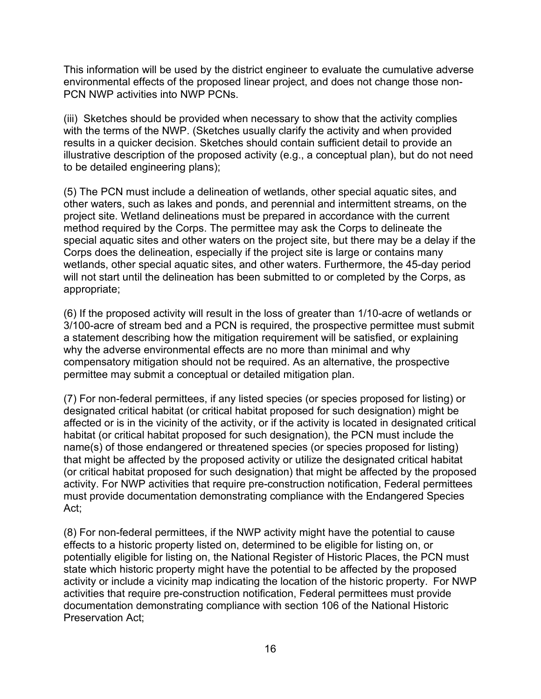This information will be used by the district engineer to evaluate the cumulative adverse environmental effects of the proposed linear project, and does not change those non-PCN NWP activities into NWP PCNs.

(iii) Sketches should be provided when necessary to show that the activity complies with the terms of the NWP. (Sketches usually clarify the activity and when provided results in a quicker decision. Sketches should contain sufficient detail to provide an illustrative description of the proposed activity (e.g., a conceptual plan), but do not need to be detailed engineering plans);

(5) The PCN must include a delineation of wetlands, other special aquatic sites, and other waters, such as lakes and ponds, and perennial and intermittent streams, on the project site. Wetland delineations must be prepared in accordance with the current method required by the Corps. The permittee may ask the Corps to delineate the special aquatic sites and other waters on the project site, but there may be a delay if the Corps does the delineation, especially if the project site is large or contains many wetlands, other special aquatic sites, and other waters. Furthermore, the 45-day period will not start until the delineation has been submitted to or completed by the Corps, as appropriate;

(6) If the proposed activity will result in the loss of greater than 1/10-acre of wetlands or 3/100-acre of stream bed and a PCN is required, the prospective permittee must submit a statement describing how the mitigation requirement will be satisfied, or explaining why the adverse environmental effects are no more than minimal and why compensatory mitigation should not be required. As an alternative, the prospective permittee may submit a conceptual or detailed mitigation plan.

(7) For non-federal permittees, if any listed species (or species proposed for listing) or designated critical habitat (or critical habitat proposed for such designation) might be affected or is in the vicinity of the activity, or if the activity is located in designated critical habitat (or critical habitat proposed for such designation), the PCN must include the name(s) of those endangered or threatened species (or species proposed for listing) that might be affected by the proposed activity or utilize the designated critical habitat (or critical habitat proposed for such designation) that might be affected by the proposed activity. For NWP activities that require pre-construction notification, Federal permittees must provide documentation demonstrating compliance with the Endangered Species Act;

(8) For non-federal permittees, if the NWP activity might have the potential to cause effects to a historic property listed on, determined to be eligible for listing on, or potentially eligible for listing on, the National Register of Historic Places, the PCN must state which historic property might have the potential to be affected by the proposed activity or include a vicinity map indicating the location of the historic property. For NWP activities that require pre-construction notification, Federal permittees must provide documentation demonstrating compliance with section 106 of the National Historic Preservation Act;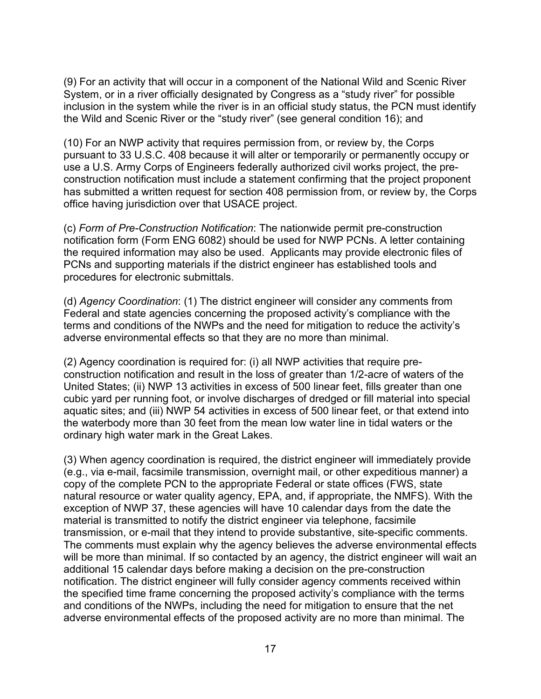(9) For an activity that will occur in a component of the National Wild and Scenic River System, or in a river officially designated by Congress as a "study river" for possible inclusion in the system while the river is in an official study status, the PCN must identify the Wild and Scenic River or the "study river" (see general condition 16); and

(10) For an NWP activity that requires permission from, or review by, the Corps pursuant to 33 U.S.C. 408 because it will alter or temporarily or permanently occupy or use a U.S. Army Corps of Engineers federally authorized civil works project, the preconstruction notification must include a statement confirming that the project proponent has submitted a written request for section 408 permission from, or review by, the Corps office having jurisdiction over that USACE project.

(c) *Form of Pre-Construction Notification*: The nationwide permit pre-construction notification form (Form ENG 6082) should be used for NWP PCNs. A letter containing the required information may also be used. Applicants may provide electronic files of PCNs and supporting materials if the district engineer has established tools and procedures for electronic submittals.

(d) *Agency Coordination*: (1) The district engineer will consider any comments from Federal and state agencies concerning the proposed activity's compliance with the terms and conditions of the NWPs and the need for mitigation to reduce the activity's adverse environmental effects so that they are no more than minimal.

(2) Agency coordination is required for: (i) all NWP activities that require preconstruction notification and result in the loss of greater than 1/2-acre of waters of the United States; (ii) NWP 13 activities in excess of 500 linear feet, fills greater than one cubic yard per running foot, or involve discharges of dredged or fill material into special aquatic sites; and (iii) NWP 54 activities in excess of 500 linear feet, or that extend into the waterbody more than 30 feet from the mean low water line in tidal waters or the ordinary high water mark in the Great Lakes.

(3) When agency coordination is required, the district engineer will immediately provide (e.g., via e-mail, facsimile transmission, overnight mail, or other expeditious manner) a copy of the complete PCN to the appropriate Federal or state offices (FWS, state natural resource or water quality agency, EPA, and, if appropriate, the NMFS). With the exception of NWP 37, these agencies will have 10 calendar days from the date the material is transmitted to notify the district engineer via telephone, facsimile transmission, or e-mail that they intend to provide substantive, site-specific comments. The comments must explain why the agency believes the adverse environmental effects will be more than minimal. If so contacted by an agency, the district engineer will wait an additional 15 calendar days before making a decision on the pre-construction notification. The district engineer will fully consider agency comments received within the specified time frame concerning the proposed activity's compliance with the terms and conditions of the NWPs, including the need for mitigation to ensure that the net adverse environmental effects of the proposed activity are no more than minimal. The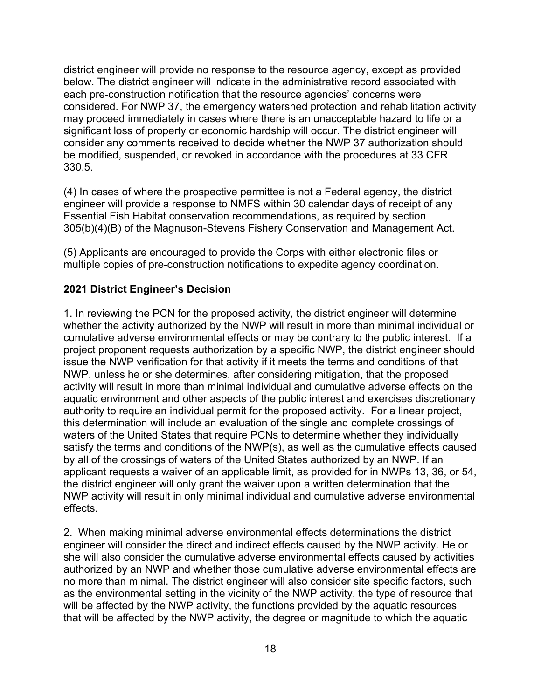district engineer will provide no response to the resource agency, except as provided below. The district engineer will indicate in the administrative record associated with each pre-construction notification that the resource agencies' concerns were considered. For NWP 37, the emergency watershed protection and rehabilitation activity may proceed immediately in cases where there is an unacceptable hazard to life or a significant loss of property or economic hardship will occur. The district engineer will consider any comments received to decide whether the NWP 37 authorization should be modified, suspended, or revoked in accordance with the procedures at 33 CFR 330.5.

(4) In cases of where the prospective permittee is not a Federal agency, the district engineer will provide a response to NMFS within 30 calendar days of receipt of any Essential Fish Habitat conservation recommendations, as required by section 305(b)(4)(B) of the Magnuson-Stevens Fishery Conservation and Management Act.

(5) Applicants are encouraged to provide the Corps with either electronic files or multiple copies of pre-construction notifications to expedite agency coordination.

# **2021 District Engineer's Decision**

1. In reviewing the PCN for the proposed activity, the district engineer will determine whether the activity authorized by the NWP will result in more than minimal individual or cumulative adverse environmental effects or may be contrary to the public interest. If a project proponent requests authorization by a specific NWP, the district engineer should issue the NWP verification for that activity if it meets the terms and conditions of that NWP, unless he or she determines, after considering mitigation, that the proposed activity will result in more than minimal individual and cumulative adverse effects on the aquatic environment and other aspects of the public interest and exercises discretionary authority to require an individual permit for the proposed activity. For a linear project, this determination will include an evaluation of the single and complete crossings of waters of the United States that require PCNs to determine whether they individually satisfy the terms and conditions of the NWP(s), as well as the cumulative effects caused by all of the crossings of waters of the United States authorized by an NWP. If an applicant requests a waiver of an applicable limit, as provided for in NWPs 13, 36, or 54, the district engineer will only grant the waiver upon a written determination that the NWP activity will result in only minimal individual and cumulative adverse environmental effects.

2. When making minimal adverse environmental effects determinations the district engineer will consider the direct and indirect effects caused by the NWP activity. He or she will also consider the cumulative adverse environmental effects caused by activities authorized by an NWP and whether those cumulative adverse environmental effects are no more than minimal. The district engineer will also consider site specific factors, such as the environmental setting in the vicinity of the NWP activity, the type of resource that will be affected by the NWP activity, the functions provided by the aquatic resources that will be affected by the NWP activity, the degree or magnitude to which the aquatic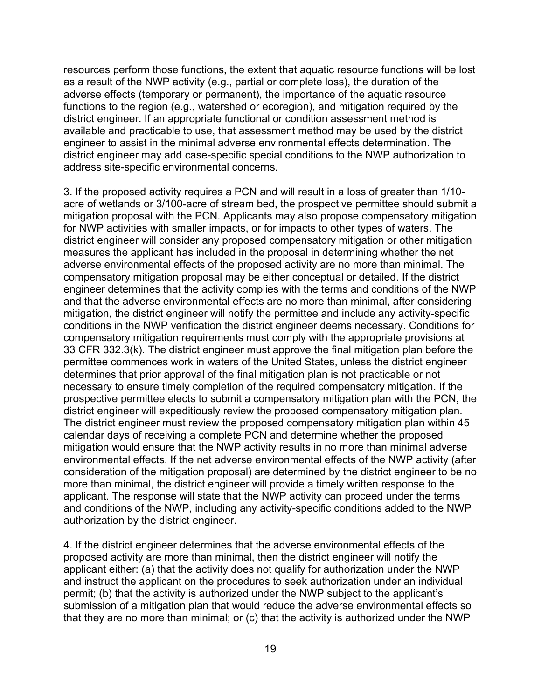resources perform those functions, the extent that aquatic resource functions will be lost as a result of the NWP activity (e.g., partial or complete loss), the duration of the adverse effects (temporary or permanent), the importance of the aquatic resource functions to the region (e.g., watershed or ecoregion), and mitigation required by the district engineer. If an appropriate functional or condition assessment method is available and practicable to use, that assessment method may be used by the district engineer to assist in the minimal adverse environmental effects determination. The district engineer may add case-specific special conditions to the NWP authorization to address site-specific environmental concerns.

3. If the proposed activity requires a PCN and will result in a loss of greater than 1/10 acre of wetlands or 3/100-acre of stream bed, the prospective permittee should submit a mitigation proposal with the PCN. Applicants may also propose compensatory mitigation for NWP activities with smaller impacts, or for impacts to other types of waters. The district engineer will consider any proposed compensatory mitigation or other mitigation measures the applicant has included in the proposal in determining whether the net adverse environmental effects of the proposed activity are no more than minimal. The compensatory mitigation proposal may be either conceptual or detailed. If the district engineer determines that the activity complies with the terms and conditions of the NWP and that the adverse environmental effects are no more than minimal, after considering mitigation, the district engineer will notify the permittee and include any activity-specific conditions in the NWP verification the district engineer deems necessary. Conditions for compensatory mitigation requirements must comply with the appropriate provisions at 33 CFR 332.3(k). The district engineer must approve the final mitigation plan before the permittee commences work in waters of the United States, unless the district engineer determines that prior approval of the final mitigation plan is not practicable or not necessary to ensure timely completion of the required compensatory mitigation. If the prospective permittee elects to submit a compensatory mitigation plan with the PCN, the district engineer will expeditiously review the proposed compensatory mitigation plan. The district engineer must review the proposed compensatory mitigation plan within 45 calendar days of receiving a complete PCN and determine whether the proposed mitigation would ensure that the NWP activity results in no more than minimal adverse environmental effects. If the net adverse environmental effects of the NWP activity (after consideration of the mitigation proposal) are determined by the district engineer to be no more than minimal, the district engineer will provide a timely written response to the applicant. The response will state that the NWP activity can proceed under the terms and conditions of the NWP, including any activity-specific conditions added to the NWP authorization by the district engineer.

4. If the district engineer determines that the adverse environmental effects of the proposed activity are more than minimal, then the district engineer will notify the applicant either: (a) that the activity does not qualify for authorization under the NWP and instruct the applicant on the procedures to seek authorization under an individual permit; (b) that the activity is authorized under the NWP subject to the applicant's submission of a mitigation plan that would reduce the adverse environmental effects so that they are no more than minimal; or (c) that the activity is authorized under the NWP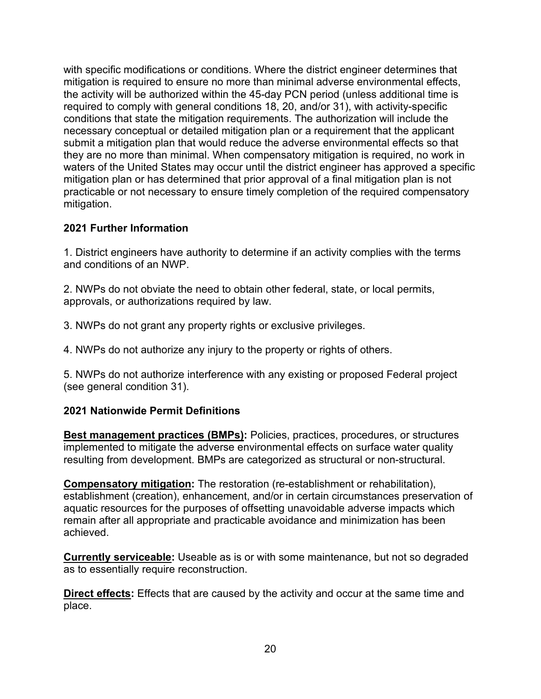with specific modifications or conditions. Where the district engineer determines that mitigation is required to ensure no more than minimal adverse environmental effects, the activity will be authorized within the 45-day PCN period (unless additional time is required to comply with general conditions 18, 20, and/or 31), with activity-specific conditions that state the mitigation requirements. The authorization will include the necessary conceptual or detailed mitigation plan or a requirement that the applicant submit a mitigation plan that would reduce the adverse environmental effects so that they are no more than minimal. When compensatory mitigation is required, no work in waters of the United States may occur until the district engineer has approved a specific mitigation plan or has determined that prior approval of a final mitigation plan is not practicable or not necessary to ensure timely completion of the required compensatory mitigation.

## **2021 Further Information**

1. District engineers have authority to determine if an activity complies with the terms and conditions of an NWP.

2. NWPs do not obviate the need to obtain other federal, state, or local permits, approvals, or authorizations required by law.

3. NWPs do not grant any property rights or exclusive privileges.

4. NWPs do not authorize any injury to the property or rights of others.

5. NWPs do not authorize interference with any existing or proposed Federal project (see general condition 31).

### **2021 Nationwide Permit Definitions**

**Best management practices (BMPs):** Policies, practices, procedures, or structures implemented to mitigate the adverse environmental effects on surface water quality resulting from development. BMPs are categorized as structural or non-structural.

**Compensatory mitigation:** The restoration (re-establishment or rehabilitation), establishment (creation), enhancement, and/or in certain circumstances preservation of aquatic resources for the purposes of offsetting unavoidable adverse impacts which remain after all appropriate and practicable avoidance and minimization has been achieved.

**Currently serviceable:** Useable as is or with some maintenance, but not so degraded as to essentially require reconstruction.

**Direct effects:** Effects that are caused by the activity and occur at the same time and place.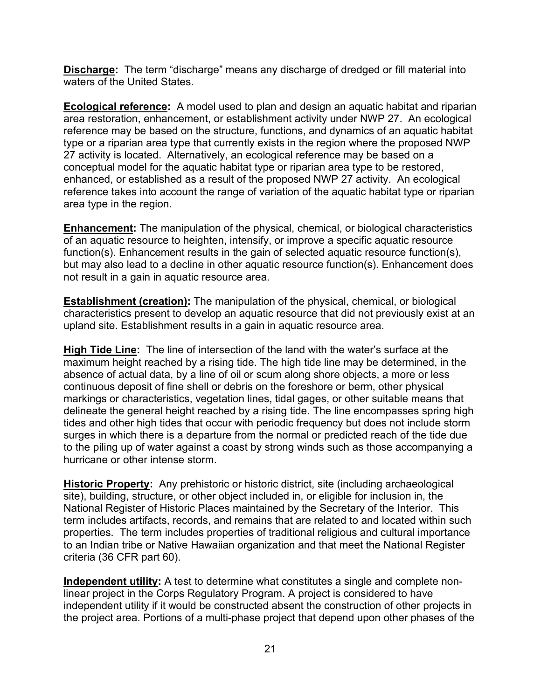**Discharge:** The term "discharge" means any discharge of dredged or fill material into waters of the United States.

**Ecological reference:** A model used to plan and design an aquatic habitat and riparian area restoration, enhancement, or establishment activity under NWP 27. An ecological reference may be based on the structure, functions, and dynamics of an aquatic habitat type or a riparian area type that currently exists in the region where the proposed NWP 27 activity is located. Alternatively, an ecological reference may be based on a conceptual model for the aquatic habitat type or riparian area type to be restored, enhanced, or established as a result of the proposed NWP 27 activity. An ecological reference takes into account the range of variation of the aquatic habitat type or riparian area type in the region.

**Enhancement:** The manipulation of the physical, chemical, or biological characteristics of an aquatic resource to heighten, intensify, or improve a specific aquatic resource function(s). Enhancement results in the gain of selected aquatic resource function(s), but may also lead to a decline in other aquatic resource function(s). Enhancement does not result in a gain in aquatic resource area.

**Establishment (creation):** The manipulation of the physical, chemical, or biological characteristics present to develop an aquatic resource that did not previously exist at an upland site. Establishment results in a gain in aquatic resource area.

**High Tide Line:** The line of intersection of the land with the water's surface at the maximum height reached by a rising tide. The high tide line may be determined, in the absence of actual data, by a line of oil or scum along shore objects, a more or less continuous deposit of fine shell or debris on the foreshore or berm, other physical markings or characteristics, vegetation lines, tidal gages, or other suitable means that delineate the general height reached by a rising tide. The line encompasses spring high tides and other high tides that occur with periodic frequency but does not include storm surges in which there is a departure from the normal or predicted reach of the tide due to the piling up of water against a coast by strong winds such as those accompanying a hurricane or other intense storm.

**Historic Property:** Any prehistoric or historic district, site (including archaeological site), building, structure, or other object included in, or eligible for inclusion in, the National Register of Historic Places maintained by the Secretary of the Interior. This term includes artifacts, records, and remains that are related to and located within such properties. The term includes properties of traditional religious and cultural importance to an Indian tribe or Native Hawaiian organization and that meet the National Register criteria (36 CFR part 60).

**Independent utility:** A test to determine what constitutes a single and complete nonlinear project in the Corps Regulatory Program. A project is considered to have independent utility if it would be constructed absent the construction of other projects in the project area. Portions of a multi-phase project that depend upon other phases of the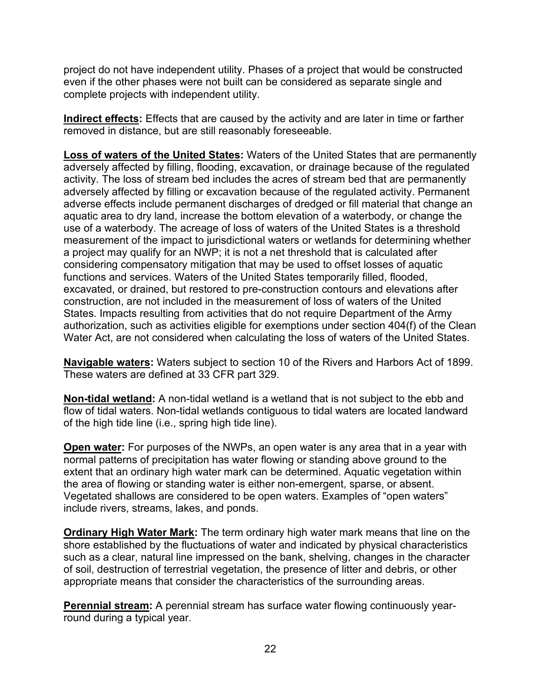project do not have independent utility. Phases of a project that would be constructed even if the other phases were not built can be considered as separate single and complete projects with independent utility.

**Indirect effects:** Effects that are caused by the activity and are later in time or farther removed in distance, but are still reasonably foreseeable.

**Loss of waters of the United States:** Waters of the United States that are permanently adversely affected by filling, flooding, excavation, or drainage because of the regulated activity. The loss of stream bed includes the acres of stream bed that are permanently adversely affected by filling or excavation because of the regulated activity. Permanent adverse effects include permanent discharges of dredged or fill material that change an aquatic area to dry land, increase the bottom elevation of a waterbody, or change the use of a waterbody. The acreage of loss of waters of the United States is a threshold measurement of the impact to jurisdictional waters or wetlands for determining whether a project may qualify for an NWP; it is not a net threshold that is calculated after considering compensatory mitigation that may be used to offset losses of aquatic functions and services. Waters of the United States temporarily filled, flooded, excavated, or drained, but restored to pre-construction contours and elevations after construction, are not included in the measurement of loss of waters of the United States. Impacts resulting from activities that do not require Department of the Army authorization, such as activities eligible for exemptions under section 404(f) of the Clean Water Act, are not considered when calculating the loss of waters of the United States.

**Navigable waters:** Waters subject to section 10 of the Rivers and Harbors Act of 1899. These waters are defined at 33 CFR part 329.

**Non-tidal wetland:** A non-tidal wetland is a wetland that is not subject to the ebb and flow of tidal waters. Non-tidal wetlands contiguous to tidal waters are located landward of the high tide line (i.e., spring high tide line).

**Open water:** For purposes of the NWPs, an open water is any area that in a year with normal patterns of precipitation has water flowing or standing above ground to the extent that an ordinary high water mark can be determined. Aquatic vegetation within the area of flowing or standing water is either non-emergent, sparse, or absent. Vegetated shallows are considered to be open waters. Examples of "open waters" include rivers, streams, lakes, and ponds.

**Ordinary High Water Mark:** The term ordinary high water mark means that line on the shore established by the fluctuations of water and indicated by physical characteristics such as a clear, natural line impressed on the bank, shelving, changes in the character of soil, destruction of terrestrial vegetation, the presence of litter and debris, or other appropriate means that consider the characteristics of the surrounding areas.

**Perennial stream:** A perennial stream has surface water flowing continuously yearround during a typical year.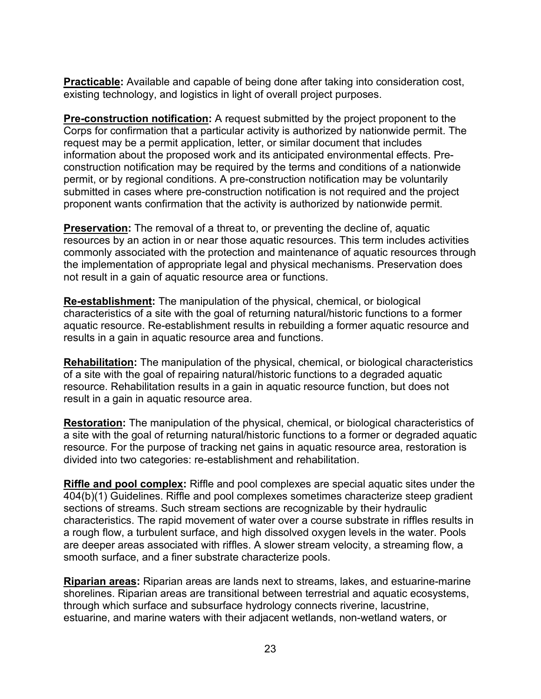**Practicable:** Available and capable of being done after taking into consideration cost, existing technology, and logistics in light of overall project purposes.

**Pre-construction notification:** A request submitted by the project proponent to the Corps for confirmation that a particular activity is authorized by nationwide permit. The request may be a permit application, letter, or similar document that includes information about the proposed work and its anticipated environmental effects. Preconstruction notification may be required by the terms and conditions of a nationwide permit, or by regional conditions. A pre-construction notification may be voluntarily submitted in cases where pre-construction notification is not required and the project proponent wants confirmation that the activity is authorized by nationwide permit.

**Preservation:** The removal of a threat to, or preventing the decline of, aquatic resources by an action in or near those aquatic resources. This term includes activities commonly associated with the protection and maintenance of aquatic resources through the implementation of appropriate legal and physical mechanisms. Preservation does not result in a gain of aquatic resource area or functions.

**Re-establishment:** The manipulation of the physical, chemical, or biological characteristics of a site with the goal of returning natural/historic functions to a former aquatic resource. Re-establishment results in rebuilding a former aquatic resource and results in a gain in aquatic resource area and functions.

**Rehabilitation:** The manipulation of the physical, chemical, or biological characteristics of a site with the goal of repairing natural/historic functions to a degraded aquatic resource. Rehabilitation results in a gain in aquatic resource function, but does not result in a gain in aquatic resource area.

**Restoration:** The manipulation of the physical, chemical, or biological characteristics of a site with the goal of returning natural/historic functions to a former or degraded aquatic resource. For the purpose of tracking net gains in aquatic resource area, restoration is divided into two categories: re-establishment and rehabilitation.

**Riffle and pool complex:** Riffle and pool complexes are special aquatic sites under the 404(b)(1) Guidelines. Riffle and pool complexes sometimes characterize steep gradient sections of streams. Such stream sections are recognizable by their hydraulic characteristics. The rapid movement of water over a course substrate in riffles results in a rough flow, a turbulent surface, and high dissolved oxygen levels in the water. Pools are deeper areas associated with riffles. A slower stream velocity, a streaming flow, a smooth surface, and a finer substrate characterize pools.

**Riparian areas:** Riparian areas are lands next to streams, lakes, and estuarine-marine shorelines. Riparian areas are transitional between terrestrial and aquatic ecosystems, through which surface and subsurface hydrology connects riverine, lacustrine, estuarine, and marine waters with their adjacent wetlands, non-wetland waters, or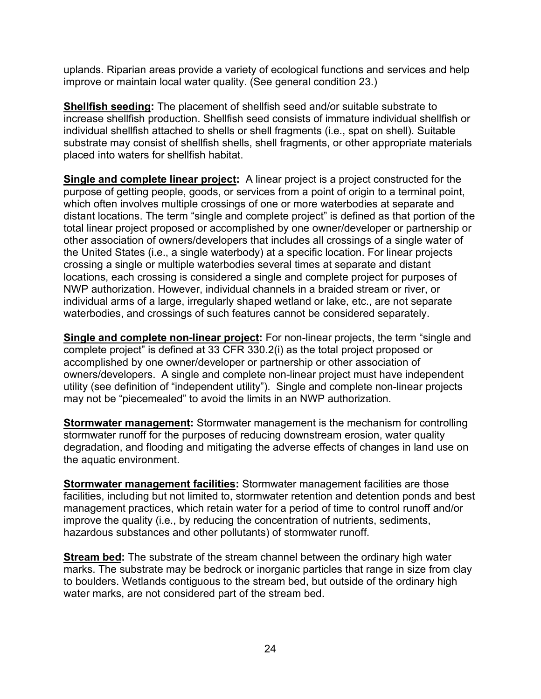uplands. Riparian areas provide a variety of ecological functions and services and help improve or maintain local water quality. (See general condition 23.)

**Shellfish seeding:** The placement of shellfish seed and/or suitable substrate to increase shellfish production. Shellfish seed consists of immature individual shellfish or individual shellfish attached to shells or shell fragments (i.e., spat on shell). Suitable substrate may consist of shellfish shells, shell fragments, or other appropriate materials placed into waters for shellfish habitat.

**Single and complete linear project:** A linear project is a project constructed for the purpose of getting people, goods, or services from a point of origin to a terminal point, which often involves multiple crossings of one or more waterbodies at separate and distant locations. The term "single and complete project" is defined as that portion of the total linear project proposed or accomplished by one owner/developer or partnership or other association of owners/developers that includes all crossings of a single water of the United States (i.e., a single waterbody) at a specific location. For linear projects crossing a single or multiple waterbodies several times at separate and distant locations, each crossing is considered a single and complete project for purposes of NWP authorization. However, individual channels in a braided stream or river, or individual arms of a large, irregularly shaped wetland or lake, etc., are not separate waterbodies, and crossings of such features cannot be considered separately.

**Single and complete non-linear project:** For non-linear projects, the term "single and complete project" is defined at 33 CFR 330.2(i) as the total project proposed or accomplished by one owner/developer or partnership or other association of owners/developers. A single and complete non-linear project must have independent utility (see definition of "independent utility"). Single and complete non-linear projects may not be "piecemealed" to avoid the limits in an NWP authorization.

**Stormwater management:** Stormwater management is the mechanism for controlling stormwater runoff for the purposes of reducing downstream erosion, water quality degradation, and flooding and mitigating the adverse effects of changes in land use on the aquatic environment.

**Stormwater management facilities:** Stormwater management facilities are those facilities, including but not limited to, stormwater retention and detention ponds and best management practices, which retain water for a period of time to control runoff and/or improve the quality (i.e., by reducing the concentration of nutrients, sediments, hazardous substances and other pollutants) of stormwater runoff.

**Stream bed:** The substrate of the stream channel between the ordinary high water marks. The substrate may be bedrock or inorganic particles that range in size from clay to boulders. Wetlands contiguous to the stream bed, but outside of the ordinary high water marks, are not considered part of the stream bed.